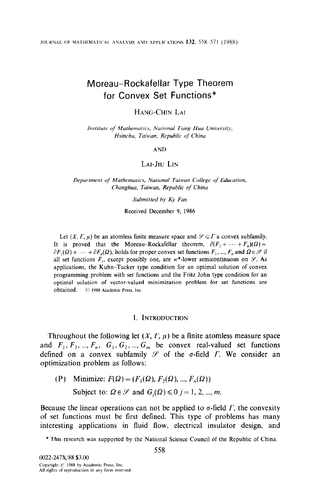# Moreau-Rockafellar Type Theorem for Convex Set Functions\*

### HANG-CHIN LAI

Institute of Mathematics, National Tsing Hua University, Hsinchu, Taiwan, Republic of China

#### AND

### LAI-JIU LIN

Department of Mathematics, National Taiwan College of Education, Changhua, Taiwan, Republic of China

#### Submitted by Ky Fan

Received December 9, 1986

Let  $(X, \Gamma, \mu)$  be an atomless finite measure space and  $\mathcal{S} \subset \Gamma$  a convex subfamily. It is proved that the Moreau-Rockafellar theorem,  $\partial (F_1 + \cdots + F_n)(\Omega) =$  $\partial F_1(\Omega) + \cdots + \partial F_n(\Omega)$ , holds for proper convex set functions  $F_1, ..., F_n$  and  $\Omega \in \mathcal{S}$  if all set functions  $F_i$ , except possibly one, are w\*-lower semicontinuous on  $\mathcal{S}$ . As applications, the Kuhn-Tucker type condition for an optimal solution of convex programming problem with set functions and the Fritz John type condition for an optimal solution of vector-valued minimization problem for set functions are obtained.  $\circ$  1988 Academic Press. Inc.

#### 1. INTRODUCTION

Throughout the following let  $(X, \Gamma, \mu)$  be a finite atomless measure space and  $F_1, F_2, ..., F_n, G_1, G_2, ..., G_m$  be convex real-valued set functions defined on a convex subfamily  $\mathscr S$  of the  $\sigma$ -field  $\Gamma$ . We consider an optimization problem as follows:

(P) Minimize:  $F(\Omega) = (F_1(\Omega), F_2(\Omega), ..., F_n(\Omega))$ Subject to:  $\Omega \in \mathcal{S}$  and  $G_i(\Omega) \leq 0$  j = 1, 2, ..., m.

Because the linear operations can not be applied to  $\sigma$ -field  $\Gamma$ , the convexity of set functions must be first defined. This type of problems has many interesting applications in fluid flow, electrical insulator design, and

\* This research was supported by the National Science Council of the Republic of China.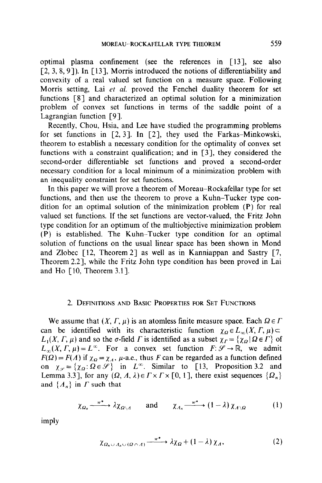optimal plasma confinement (see the references in [13], see also  $[2, 3, 8, 9]$ ). In  $[13]$ , Morris introduced the notions of differentiability and convexity of a real valued set function on a measure space. Following Morris setting, Lai et al. proved the Fenchel duality theorem for set functions [S] and characterized an optimal solution for a minimization problem of convex set functions in terms of the saddle point of a Lagrangian function [9].

Recently, Chou, Hsia, and Lee have studied the programming problems for set functions in  $[2, 3]$ . In  $[2]$ , they used the Farkas-Minkowski, theorem to establish a necessary condition for the optimality of convex set functions with a constraint qualification; and in [3], they considered the second-order differentiable set functions and proved a second-order necessary condition for a local minimum of a minimization problem with an inequality constraint for set functions.

In this paper we will prove a theorem of Moreau-Rockafellar type for set functions, and then use the theorem to prove a Kuhn-Tucker type condition for an optimal solution of the minimization problem (P) for real valued set functions. If the set functions are vector-valued, the Fritz John type condition for an optimum of the multiobjective minimization problem (P) is established. The Kuhn-Tucker type condition for an optimal solution of functions on the usual linear space has been shown in Mond and Zlobec  $[12,$  Theorem 2] as well as in Kanniappan and Sastry  $[7,$ Theorem 2.21, while the Fritz John type condition has been proved in Lai and Ho  $\lceil 10$ , Theorem 3.1].

### 2. DEFINITIONS AND BASIC PROPERTIES FOR SET FUNCTIONS

We assume that  $(X, \Gamma, \mu)$  is an atomless finite measure space. Each  $\Omega \in \Gamma$ can be identified with its characteristic function  $\chi_{\Omega} \in L_{\infty}(X, \Gamma, \mu)$  $L_1(X, \Gamma, \mu)$  and so the  $\sigma$ -field  $\Gamma$  is identified as a subset  $\chi_{\Gamma} = {\chi_{\Omega} | \Omega \in \Gamma}$  of  $L_{\infty}(X, \Gamma, \mu) = L^{\infty}$ . For a convex set function  $F: \mathscr{S} \to \mathbb{R}$ , we admit  $F(\Omega) = F(\Lambda)$  if  $\chi_{\Omega} = \chi_{\Lambda}$ ,  $\mu$ -a.e., thus F can be regarded as a function defined on  $\chi_{\mathscr{S}} = {\chi_{\Omega} : \Omega \in \mathscr{S}}$  in  $L^{\infty}$ . Similar to [13, Proposition 3.2 and Lemma 3.3], for any  $(\Omega, \Lambda, \lambda) \in \Gamma \times \Gamma \times [0, 1]$ , there exist sequences  $\{\Omega_n\}$ and  $\{A_n\}$  in  $\Gamma$  such that

$$
\chi_{\Omega_n} \xrightarrow{w^*} \lambda \chi_{\Omega \setminus \Lambda} \quad \text{and} \quad \chi_{\Lambda_n} \xrightarrow{w^*} (1 - \lambda) \chi_{\Lambda \setminus \Omega} \quad (1)
$$

imply

$$
\chi_{\Omega_n \cup A_n \cup (\Omega \cap A)} \xrightarrow{w^*} \lambda \chi_{\Omega} + (1 - \lambda) \chi_A, \tag{2}
$$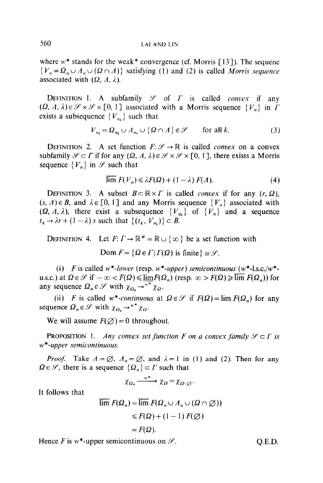where  $w^*$  stands for the weak\* convergence (cf. Morris [13]). The sequene  ${V_n = \Omega_n \cup A_n \cup (\Omega \cap A)}$  satisfying (1) and (2) is called Morris sequence associated with  $(\Omega, \Lambda, \lambda)$ .

DEFINITION 1. A subfamily  $\mathscr S$  of  $\Gamma$  is called *convex* if any  $(\Omega, \Lambda, \lambda) \in \mathcal{S} \times \mathcal{S} \times [0, 1]$  associated with a Morris sequence  $\{V_n\}$  in  $\Gamma$ exists a subsequence  ${V_{n}}$  such that

$$
V_{n_k} = \Omega_{n_k} \cup A_{n_k} \cup \{\Omega \cap \Lambda\} \in \mathcal{S} \quad \text{for all } k. \tag{3}
$$

DEFINITION 2. A set function  $F: \mathcal{S} \to \mathbb{R}$  is called *convex* on a convex subfamily  $\mathscr{S} \subset \Gamma$  if for any  $(\Omega, \Lambda, \lambda) \in \mathscr{S} \times \mathscr{S} \times [0, 1]$ , there exists a Morris sequence  ${V_n}$  in  $\mathscr S$  such that

$$
\overline{\lim} F(V_n) \leqslant \lambda F(\Omega) + (1 - \lambda) F(\Lambda). \tag{4}
$$

DEFINITION 3. A subset  $B \subset \mathbb{R} \times \Gamma$  is called *convex* if for any  $(r, \Omega)$ ,  $(s, \Lambda) \in B$ , and  $\lambda \in [0, 1]$  and any Morris sequence  $\{V_n\}$  associated with  $(\Omega, \Lambda, \lambda)$ , there exist a subsequence  $\{V_{n_k}\}$  of  $\{\hat{V}_n\}$  and a sequence  $t_k \rightarrow \lambda r + (1 - \lambda)s$  such that  $\{(t_k, V_m)\}\subset B$ .

DEFINITION 4. Let  $F: \Gamma \to \mathbb{R}^* = \mathbb{R} \cup \{\infty\}$  be a set function with Dom  $F = \{Q \in \Gamma | \Gamma(Q)$  is finite  $\} \equiv \mathcal{S}$ .

(i) F is called w\*-lower (resp. w\*-upper) semicontinuous (w\*-l.s.c./w\*-<br>u.s.c.) at  $\Omega \in \mathcal{S}$  if  $-\infty < F(\Omega) \le \lim_{n \to \infty} F(\Omega_n)$  (resp.  $\infty > F(\Omega) \ge \lim_{n \to \infty} F(\Omega_n)$ ) for any sequence  $\Omega_n \in \mathcal{S}$  with  $\chi_{\Omega_n} \to^{w^*} \chi_{\Omega_n}$ .

(ii) F is called w\*-continuous at  $\Omega \in \mathcal{S}$  if  $F(\Omega) = \lim F(\Omega_n)$  for any sequence  $\Omega_n \in \mathscr{S}$  with  $\chi_{\Omega_n} \to {}^{\kappa^*} \chi_{\Omega}$ .

We will assume  $F(\emptyset) = 0$  throughout.

**PROPOSITION** 1. Any convex set function F on a convex family  $\mathcal{S} \subset \Gamma$  is w\*-upper semicontinuous.

*Proof.* Take  $A = \emptyset$ ,  $A_n = \emptyset$ , and  $\lambda = 1$  in (1) and (2). Then for any  $\Omega \in \mathscr{S}$ , there is a sequence  $\{\Omega_n\} \subset \Gamma$  such that

$$
\chi_{\Omega_n} \xrightarrow{w^*} \chi_{\Omega} = \chi_{\Omega \setminus \varnothing}.
$$

It follows that

$$
\overline{\lim} F(\Omega_n) = \overline{\lim} F(\Omega_n \cup A_n \cup (\Omega \cap \emptyset))
$$
  
\n
$$
\leq F(\Omega) + (1 - 1) F(\emptyset)
$$
  
\n
$$
= F(\Omega).
$$

Hence F is  $w^*$ -upper semicontinuous on  $\mathcal{S}$ . Q.E.D.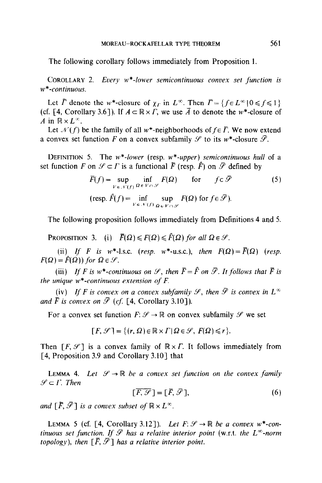The following corollary follows immediately from Proposition 1.

COROLLARY 2. Every  $w^*$ -lower semicontinuous convex set function is w\*-continuous.

Let  $\overline{\Gamma}$  denote the w\*-closure of  $\chi_{\Gamma}$  in  $L^{\infty}$ . Then  $\overline{\Gamma} = \{f \in L^{\infty} | 0 \leq f \leq 1\}$ (cf. [4, Corollary 3.6]). If  $A \subset \mathbb{R} \times \Gamma$ , we use  $\overline{A}$  to denote the w<sup>\*</sup>-closure of A in  $\mathbb{R} \times L^{\infty}$ .

Let  $\mathcal{N}(f)$  be the family of all w\*-neighborhoods of  $f \in \overline{\Gamma}$ . We now extend a convex set function F on a convex subfamily  $\mathscr S$  to its w\*-closure  $\overline{\mathscr S}$ .

DEFINITION 5. The  $w^*$ -lower (resp.  $w^*$ -upper) semicontinuous hull of a set function F on  $\mathscr{S} \subset \Gamma$  is a functional  $\overline{F}$  (resp.  $\hat{F}$ ) on  $\overline{\mathscr{S}}$  defined by

$$
\overline{F}(f) = \sup_{V \in \mathcal{N}(f)} \inf_{\Omega \in V \cap \mathcal{S}} F(\Omega) \quad \text{for} \quad f \in \overline{\mathcal{S}} \tag{5}
$$
\n
$$
(\text{resp. } \hat{F}(f) = \inf_{V \in \mathcal{N}(f)} \sup_{\Omega \in V \cap \mathcal{S}} F(\Omega) \text{ for } f \in \overline{\mathcal{S}}).
$$

The following proposition follows immediately from Definitions 4 and 5.

PROPOSITION 3. (i)  $\bar{F}(\Omega) \leq F(\Omega) \leq \hat{F}(\Omega)$  for all  $\Omega \in \mathcal{S}$ .

(ii) If F is w\*-l.s.c. (resp. w\*-u.s.c.), then  $F(\Omega) = \overline{F}(\Omega)$  (resp.  $F(\Omega) = \hat{F}(\Omega)$  for  $\Omega \in \mathcal{S}$ .

(iii) If F is w\*-continuous on  $\mathcal{S}$ , then  $\bar{F}=\hat{F}$  on  $\bar{\mathcal{S}}$ . It follows that  $\bar{F}$  is the unique  $w^*$ -continuous extension of  $F$ .

(iv) If F is convex on a convex subfamily  $\mathscr{S}$ , then  $\overline{\mathscr{S}}$  is convex in  $L^{\infty}$ and  $\bar{F}$  is convex on  $\bar{\mathcal{S}}$  (cf. [4, Corollary 3.10]).

For a convex set function  $F: \mathcal{S} \to \mathbb{R}$  on convex subfamily  $\mathcal{S}$  we set

$$
[F, \mathcal{S}] = \{(r, \Omega) \in \mathbb{R} \times \Gamma | \Omega \in \mathcal{S}, F(\Omega) \le r\}.
$$

Then  $[F, \mathcal{S}]$  is a convex family of  $\mathbb{R} \times \Gamma$ . It follows immediately from [4, Proposition 3.9 and Corollary 3.10] that

LEMMA 4. Let  $\mathcal{S} \to \mathbb{R}$  be a convex set function on the convex family  $\mathscr{S} \subset \Gamma$ . Then

$$
[\overline{F}, \overline{\mathcal{S}}] = [\overline{F}, \overline{\mathcal{S}}], \tag{6}
$$

and  $[\bar{F}, \bar{\mathscr{S}}]$  is a convex subset of  $\mathbb{R} \times L^{\infty}$ .

LEMMA 5 (cf. [4, Corollary 3.12]). Let  $F: \mathcal{S} \to \mathbb{R}$  be a convex w\*-continuous set function. If  $\bar{\mathscr{S}}$  has a relative interior point (w.r.t. the  $L^{\infty}$ -norm topology), then  $\lceil \bar{F}, \bar{\mathcal{S}} \rceil$  has a relative interior point.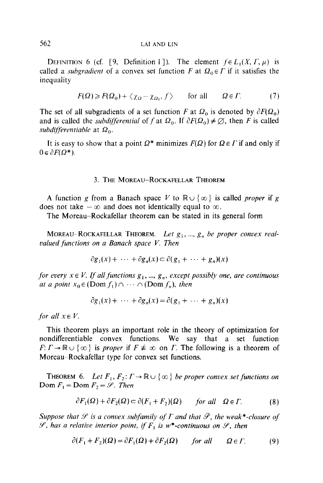### 562 LAI AND LIN

DEFINITION 6 (cf. [9, Definition 1]). The element  $f \in L_1(X, \Gamma, \mu)$  is called a *subgradient* of a convex set function F at  $\Omega_0 \in \Gamma$  if it satisfies the inequality

$$
F(\Omega) \ge F(\Omega_0) + \langle \chi_{\Omega} - \chi_{\Omega_0}, f \rangle \quad \text{for all} \quad \Omega \in \Gamma. \tag{7}
$$

The set of all subgradients of a set function F at  $\Omega_0$  is denoted by  $\partial F(\Omega_0)$ and is called the *subdifferential* of f at  $\Omega_0$ . If  $\partial F(\Omega_0) \neq \emptyset$ , then F is called subdifferentiable at  $\Omega_0$ .

It is easy to show that a point  $\Omega^*$  minimizes  $F(\Omega)$  for  $\Omega \in \Gamma$  if and only if  $0 \in \partial F(\Omega^*)$ .

#### 3. THE MOREAU-ROCKAFELLAR THEOREM

A function g from a Banach space V to  $\mathbb{R} \cup \{\infty\}$  is called proper if g does not take  $-\infty$  and does not identically equal to  $\infty$ .

The Moreau-Rockafellar theorem can be stated in its general form

MOREAU-ROCKAFELLAR THEOREM. Let  $g_1, ..., g_n$  be proper convex realvalued functions on a Banach space V. Then

$$
\partial g_1(x) + \cdots + \partial g_n(x) \subset \partial (g_1 + \cdots + g_n)(x)
$$

for every  $x \in V$ . If all functions  $g_1, ..., g_n$ , except possibly one, are continuous at a point  $x_0 \in (Dom f_1) \cap \cdots \cap (Dom f_n)$ , then

$$
\partial g_1(x) + \cdots + \partial g_n(x) = \partial (g_1 + \cdots + g_n)(x)
$$

for all  $x \in V$ .

This theorem plays an important role in the theory of optimization for nondifferentiable convex functions. We say that a set function  $F: \Gamma \to \mathbb{R} \cup \{\infty\}$  is proper if  $F \neq \infty$  on  $\Gamma$ . The following is a theorem of Moreau–Rockafellar type for convex set functions.

THEOREM 6. Let  $F_1, F_2: \Gamma \to \mathbb{R} \cup \{\infty\}$  be proper convex set functions on Dom  $F_1$  = Dom  $F_2$  =  $\mathscr{S}$ . Then

$$
\partial F_1(\Omega) + \partial F_2(\Omega) \subset \partial (F_1 + F_2)(\Omega) \quad \text{for all} \quad \Omega \in \Gamma. \tag{8}
$$

Suppose that  $\mathscr S$  is a convex subfamily of  $\Gamma$  and that  $\mathscr P$ , the weak\*-closure of  $\mathscr{S}$ , has a relative interior point, if  $F_1$  is w\*-continuous on  $\mathscr{S}$ , then

$$
\partial (F_1 + F_2)(\Omega) = \partial F_1(\Omega) + \partial F_2(\Omega) \quad \text{for all} \quad \Omega \in \Gamma. \tag{9}
$$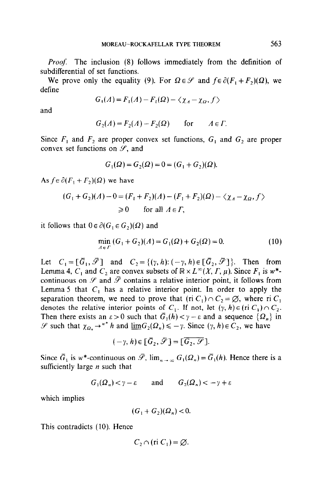Proof: The inclusion (8) follows immediately from the definition of subdifferential of set functions.

We prove only the equality (9). For  $\Omega \in \mathcal{S}$  and  $f \in \partial (F_1 + F_2)(\Omega)$ , we define

$$
G_1(A) = F_1(A) - F_1(\Omega) - \langle \chi_A - \chi_\Omega, f \rangle
$$

and

$$
G_2(A) = F_2(A) - F_2(\Omega) \quad \text{for} \quad A \in \Gamma.
$$

Since  $F_1$  and  $F_2$  are proper convex set functions,  $G_1$  and  $G_2$  are proper convex set functions on  $\mathcal{S}$ , and

$$
G_1(\Omega) = G_2(\Omega) = 0 = (G_1 + G_2)(\Omega).
$$

As  $f \in \partial (F_1 + F_2)(\Omega)$  we have

$$
(G_1 + G_2)(\Lambda) - 0 = (F_1 + F_2)(\Lambda) - (F_1 + F_2)(\Omega) - \langle \chi_{\Lambda} - \chi_{\Omega}, f \rangle
$$
  
\n
$$
\geq 0 \quad \text{for all } \Lambda \in \Gamma,
$$

it follows that  $0 \in \partial (G_1 \in G_2)(\Omega)$  and

$$
\min_{A \in \Gamma} (G_1 + G_2)(A) = G_1(\Omega) + G_2(\Omega) = 0. \tag{10}
$$

Let  $C_1 = [\bar{G}_1, \bar{\mathscr{S}}]$  and  $C_2 = \{(\gamma, h): (-\gamma, h) \in [\bar{G}_2, \bar{\mathscr{S}}] \}$ . Then from Lemma 4,  $C_1$  and  $C_2$  are convex subsets of  $\mathbb{R} \times L^{\infty}(X, \Gamma, \mu)$ . Since  $F_1$  is w\*continuous on  $\mathscr S$  and  $\bar{\mathscr P}$  contains a relative interior point, it follows from Lemma 5 that  $C_1$  has a relative interior point. In order to apply the separation theorem, we need to prove that  $(\text{ri } C_1) \cap C_2 = \emptyset$ , where ri  $C_1$ denotes the relative interior points of  $C_1$ . If not, let  $(\gamma, h) \in (r_i \cap C_1) \cap C_2$ . Then there exists an  $\varepsilon > 0$  such that  $\overline{G}_1(h) < \gamma - \varepsilon$  and a sequence  $\{\Omega_n\}$  in  $\mathscr S$  such that  $\chi_{\Omega_n} \to^{w^*} h$  and  $\underline{\lim} G_2(\Omega_n) \le -\gamma$ . Since  $(\gamma, h) \in C_2$ , we have

$$
(-\gamma, h) \in [\overline{G}_2, \overline{\mathscr{S}}] = [\overline{G}_2, \overline{\mathscr{S}}].
$$

Since  $\bar{G}_1$  is w\*-continuous on  $\bar{\mathscr{S}}$ ,  $\lim_{n\to\infty} G_1(\Omega_n) = \bar{G}_1(h)$ . Hence there is a sufficiently large  $n$  such that

$$
G_1(\Omega_n) < \gamma - \varepsilon \qquad \text{and} \qquad G_2(\Omega_n) < -\gamma + \varepsilon
$$

which implies

$$
(G_1 + G_2)(\Omega_n) < 0.
$$

This contradicts (10). Hence

$$
C_2 \cap (ri C_1) = \varnothing.
$$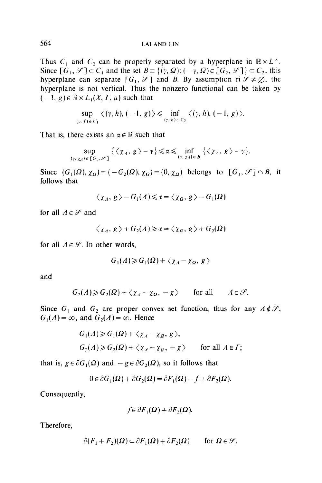Thus  $C_1$  and  $C_2$  can be properly separated by a hyperplane in  $\mathbb{R} \times L^{\infty}$ . Since  $[G_1, \mathscr{S}] \subset C_1$  and the set  $B = \{(\gamma, \Omega) : (-\gamma, \Omega) \in [G_2, \mathscr{S}] \} \subset C_2$ , this hyperplane can separate  $[G_1, \mathcal{S}]$  and B. By assumption ri  $\overline{\mathcal{S}} \neq \emptyset$ , the hyperplane is not vertical. Thus the nonzero functional can be taken by  $(-1, g) \in \mathbb{R} \times L_1(X, \Gamma, \mu)$  such that

$$
\sup_{(\gamma, f) \in C_1} \langle (\gamma, h), (-1, g) \rangle \leq \inf_{(\gamma, h) \in C_2} \langle (\gamma, h), (-1, g) \rangle.
$$

That is, there exists an  $\alpha \in \mathbb{R}$  such that

$$
\sup_{(\gamma,\chi_A)\in\{G_1,\mathscr{S}\}}\left\{\langle\chi_A,\,g\,\rangle-\gamma\right\}\leqslant\alpha\leqslant\inf_{(\gamma,\,\chi_A)\,\in\,B}\left\{\langle\chi_A,\,g\,\rangle-\gamma\right\}.
$$

Since  $(G_1(\Omega), \chi_{\Omega}) = (-G_2(\Omega), \chi_{\Omega}) = (0, \chi_{\Omega})$  belongs to  $[G_1, \mathscr{S}] \cap B$ , it follows that

$$
\langle \chi_A, g \rangle - G_1(A) \leq \alpha = \langle \chi_\Omega, g \rangle - G_1(\Omega)
$$

for all  $A \in \mathcal{S}$  and

$$
\langle \chi_A, g \rangle + G_2(A) \ge \alpha = \langle \chi_\Omega, g \rangle + G_2(\Omega)
$$

for all  $A \in \mathcal{S}$ . In other words,

$$
G_1(A) \geq G_1(\Omega) + \langle \chi_A - \chi_\Omega, g \rangle
$$

and

$$
G_2(\Lambda) \geq G_2(\Omega) + \langle \chi_{\Lambda} - \chi_{\Omega}, -g \rangle \quad \text{for all} \quad \Lambda \in \mathcal{S}.
$$

Since  $G_1$  and  $G_2$  are proper convex set function, thus for any  $A \notin \mathcal{S}$ ,  $G_1(A) = \infty$ , and  $G_2(A) = \infty$ . Hence

$$
G_1(A) \ge G_1(\Omega) + \langle \chi_A - \chi_\Omega, g \rangle,
$$
  
\n
$$
G_2(A) \ge G_2(\Omega) + \langle \chi_A - \chi_\Omega, -g \rangle \qquad \text{for all } A \in \Gamma;
$$

that is,  $g \in \partial G_1(\Omega)$  and  $-g \in \partial G_2(\Omega)$ , so it follows that

$$
0 \in \partial G_1(\Omega) + \partial G_2(\Omega) = \partial F_1(\Omega) - f + \partial F_2(\Omega).
$$

Consequently,

$$
f \in \partial F_1(\Omega) + \partial F_2(\Omega).
$$

Therefore,

$$
\partial (F_1 + F_2)(\Omega) \subset \partial F_1(\Omega) + \partial F_2(\Omega) \quad \text{for } \Omega \in \mathcal{S}.
$$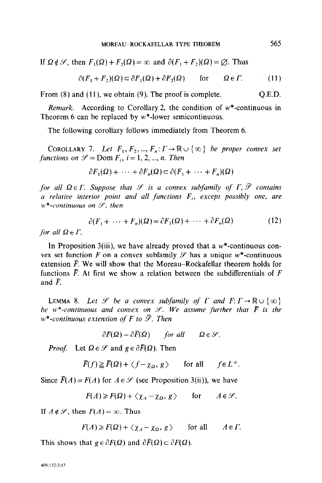If  $\Omega \notin \mathcal{S}$ , then  $F_1(\Omega) + F_2(\Omega) = \infty$  and  $\partial (F_1 + F_2)(\Omega) = \emptyset$ . Thus

$$
\partial (F_1 + F_2)(\Omega) \subset \partial F_1(\Omega) + \partial F_2(\Omega) \quad \text{for} \quad \Omega \in \Gamma. \tag{11}
$$

From  $(8)$  and  $(11)$ , we obtain  $(9)$ . The proof is complete.  $Q.E.D.$ 

*Remark.* According to Corollary 2, the condition of  $w^*$ -continuous in Theorem 6 can be replaced by  $w^*$ -lower semicontinuous.

The following corollary follows immediately from Theorem 6.

COROLLARY 7. Let  $F_1, F_2, ..., F_n: \Gamma \to \mathbb{R} \cup \{\infty\}$  be proper convex set functions on  $\mathcal{S} =$  Dom  $F_i$ ,  $i = 1, 2, ..., n$ . Then

$$
\partial F_1(\Omega) + \cdots + \partial F_n(\Omega) \subset \partial (F_1 + \cdots + F_n)(\Omega)
$$

for all  $\Omega \in \Gamma$ . Suppose that  $\mathcal P$  is a convex subfamily of  $\Gamma$ ,  $\overline{\mathcal P}$  contains a relative interior point and all functions  $F_i$ , except possibly one, are  $w^*$ -continuous on  $\mathcal{S}$ , then

$$
\partial (F_1 + \dots + F_n)(\Omega) = \partial F_1(\Omega) + \dots + \partial F_n(\Omega) \tag{12}
$$

for all  $\Omega \in \Gamma$ .

In Proposition 3(iii), we have already proved that a  $w^*$ -continuous convex set function F on a convex subfamily  $\mathscr S$  has a unique w\*-continuous extension  $\vec{F}$ . We will show that the Moreau-Rockafellar theorem holds for functions  $\overline{F}$ . At first we show a relation between the subdifferentials of F and  $\overline{F}$ .

LEMMA 8. Let  $\mathscr S$  be a convex subfamily of  $\Gamma$  and  $F: \Gamma \to \mathbb{R} \cup \{ \infty \}$ be w\*-continuous and convex on  $\mathcal{S}$ . We assume further that  $\bar{F}$  is the  $w^*$ -continuous extension of F to  $\overline{\mathscr{S}}$ . Then

$$
\partial F(\Omega) = \partial \overline{F}(\Omega) \quad \text{for all} \quad \Omega \in \mathcal{S}.
$$

*Proof.* Let  $\Omega \in \mathcal{S}$  and  $g \in \partial \overline{F}(\Omega)$ . Then

$$
\overline{F}(f) \ge \overline{F}(\Omega) + \langle f - \chi_{\Omega}, g \rangle \quad \text{for all} \quad f \in L^{\infty}.
$$

Since  $\bar{F}(A) = F(A)$  for  $A \in \mathcal{S}$  (see Proposition 3(ii)), we have

$$
F(A) \ge F(\Omega) + \langle \chi_A - \chi_\Omega, g \rangle \quad \text{for} \quad A \in \mathcal{S}.
$$

If  $A \notin \mathcal{S}$ , then  $F(A) = \infty$ . Thus

$$
F(A) \geq F(\Omega) + \langle \chi_A - \chi_\Omega, g \rangle \quad \text{for all} \quad A \in \Gamma.
$$

This shows that  $g \in \partial F(\Omega)$  and  $\partial \overline{F}(\Omega) \subset \partial F(\Omega)$ .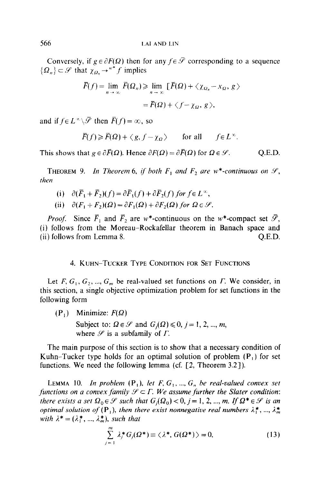Conversely, if  $g \in \partial F(\Omega)$  then for any  $f \in \overline{\mathscr{F}}$  corresponding to a sequence  $\{\Omega_n\} \subset \mathscr{S}$  that  $\chi_{\Omega_n} \to^{w^*} f$  implies

$$
\overline{F}(f) = \lim_{n \to \infty} \overline{F}(\Omega_n) \ge \lim_{n \to \infty} \left[ \overline{F}(\Omega) + \langle \chi_{\Omega_n} - \chi_{\Omega}, g \rangle \right]
$$

$$
= \overline{F}(\Omega) + \langle f - \chi_{\Omega}, g \rangle,
$$

and if  $f \in L^{\infty} \backslash \overline{\mathscr{S}}$  then  $\overline{F}(f) = \infty$ , so

$$
\overline{F}(f) \ge \overline{F}(\Omega) + \langle g, f - \chi_{\Omega} \rangle \quad \text{for all} \quad f \in L^{\infty}.
$$

This shows that  $g \in \partial \overline{F}(\Omega)$ . Hence  $\partial F(\Omega) = \partial \overline{F}(\Omega)$  for  $\Omega \in \mathcal{S}$ . Q.E.D.

**THEOREM 9.** In Theorem 6, if both  $F_1$  and  $F_2$  are w\*-continuous on  $\mathcal{S}$ , then

- (i)  $\partial(\overline{F}_1 + \overline{F}_2)(f) = \partial \overline{F}_1(f) + \partial \overline{F}_2(f)$  for  $f \in L^{\infty}$ , (ii)  $\partial (F_1 + F_2)(\Omega) = \partial F_1(\Omega) + \partial F_2(\Omega)$  for  $\Omega \in \mathcal{S}$ .
- *Proof.* Since  $\overline{F}_1$  and  $\overline{F}_2$  are w\*-continuous on the w\*-compact set  $\overline{\mathscr{S}}$ , (i) follows from the Moreau-Rockafellar theorem in Banach space and (ii) follows from Lemma 8. Q.E.D.

### 4. KUHN-TUCKER TYPE CONDITION FOR SET FUNCTIONS

Let F,  $G_1, G_2, ..., G_m$  be real-valued set functions on  $\Gamma$ . We consider, in this section, a single objective optimization problem for set functions in the following form

 $(P_1)$  Minimize:  $F(\Omega)$ Subject to:  $\Omega \in \mathcal{S}$  and  $G_i(\Omega) \leq 0, j = 1, 2, ..., m$ , where  $\mathscr S$  is a subfamily of  $\Gamma$ .

The main purpose of this section is to show that a necessary condition of Kuhn-Tucker type holds for an optimal solution of problem  $(P_1)$  for set functions. We need the following lemma (cf.  $[2,$  Theorem 3.2]).

LEMMA 10. In problem  $(P_1)$ , let F,  $G_1$ , ...,  $G_n$  be real-valued convex set functions on a convex family  $\mathcal{S} \subset \Gamma$ . We assume further the Slater condition: there exists a set  $\Omega_0 \in \mathcal{S}$  such that  $G_i(\Omega_0) < 0$ ,  $j = 1, 2, ..., m$ . If  $\Omega^* \in \mathcal{S}$  is an optimal solution of  $(P_1)$ , then there exist nonnegative real numbers  $\lambda_1^*$ , ...,  $\lambda_m^*$ with  $\lambda^* = (\lambda_1^*, ..., \lambda_m^*)$ , such that

$$
\sum_{j=1}^{m} \lambda_j^* G_j(\Omega^*) \equiv \langle \lambda^*, G(\Omega^*) \rangle = 0, \tag{13}
$$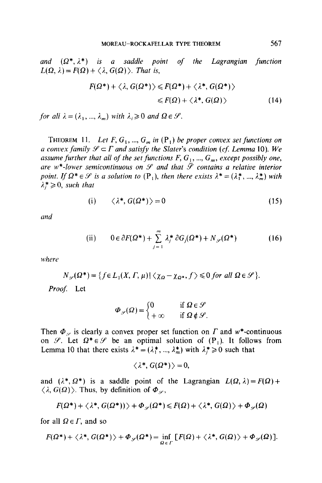and  $(\Omega^*, \lambda^*)$  is a saddle point of the Lagrangian function  $L(\Omega, \lambda) = F(\Omega) + \langle \lambda, G(\Omega) \rangle$ . That is,

$$
F(\Omega^*) + \langle \lambda, G(\Omega^*) \rangle \leq F(\Omega^*) + \langle \lambda^*, G(\Omega^*) \rangle
$$
  

$$
\leq F(\Omega) + \langle \lambda^*, G(\Omega) \rangle \tag{14}
$$

for all  $\lambda = (\lambda_1, ..., \lambda_m)$  with  $\lambda_i \geq 0$  and  $\Omega \in \mathcal{S}$ .

THEOREM 11. Let F,  $G_1$ , ...,  $G_m$  in  $(\mathbf{P}_1)$  be proper convex set functions on a convex family  $\mathscr{S} \subset \Gamma$  and satisfy the Slater's condition (cf. Lemma 10). We assume further that all of the set functions  $F, G_1, ..., G_m$ , except possibly one, are w\*-lower semicontinuous on  $\mathcal S$  and that  $\bar{\mathcal S}$  contains a relative interior point. If  $\Omega^* \in \mathcal{S}$  is a solution to  $(\mathbf{P}_1)$ , then there exists  $\lambda^* = (\lambda_1^*, ..., \lambda_m^*)$  with  $\lambda^* \geq 0$ , such that

$$
(i) \qquad \langle \lambda^*, G(\Omega^*) \rangle = 0 \tag{15}
$$

and

(ii) 
$$
0 \in \partial F(\Omega^*) + \sum_{j=1}^m \lambda_j^* \partial G_j(\Omega^*) + N_{\mathscr{S}}(\Omega^*)
$$
 (16)

where

$$
N_{\mathscr{S}}(\Omega^*) = \{ f \in L_1(X,\Gamma,\mu) \mid \langle \chi_{\Omega} - \chi_{\Omega^*}, f \rangle \leq 0 \text{ for all } \Omega \in \mathscr{S} \}.
$$

Proof: Let

$$
\Phi_{\mathscr{S}}(\Omega) = \begin{cases} 0 & \text{if } \Omega \in \mathscr{S} \\ +\infty & \text{if } \Omega \notin \mathscr{S}. \end{cases}
$$

Then  $\Phi_{\mathscr{S}}$  is clearly a convex proper set function on  $\Gamma$  and w\*-continuous on  $\mathscr{S}$ . Let  $\Omega^* \in \mathscr{S}$  be an optimal solution of  $(P_1)$ . It follows from Lemma 10 that there exists  $\lambda^* = (\lambda_1^*, ..., \lambda_m^*)$  with  $\lambda_i^* \ge 0$  such that

$$
\langle \lambda^*, G(\Omega^*) \rangle = 0,
$$

and  $(\lambda^*, \Omega^*)$  is a saddle point of the Lagrangian  $L(\Omega, \lambda) = F(\Omega) +$  $\langle \lambda, G(\Omega) \rangle$ . Thus, by definition of  $\Phi_{\varphi}$ ,

$$
F(\Omega^*) + \langle \lambda^*, G(\Omega^*)) \rangle + \Phi_{\varphi}(\Omega^*) \leq F(\Omega) + \langle \lambda^*, G(\Omega) \rangle + \Phi_{\varphi}(\Omega)
$$

for all  $Q \in \Gamma$ , and so

$$
F(\Omega^*)+\langle \lambda^*, G(\Omega^*)\rangle+\Phi_{\mathscr{S}}(\Omega^*)=\inf_{\Omega\in\Gamma}\big[F(\Omega)+\langle \lambda^*, G(\Omega)\rangle+\Phi_{\mathscr{S}}(\Omega)\big].
$$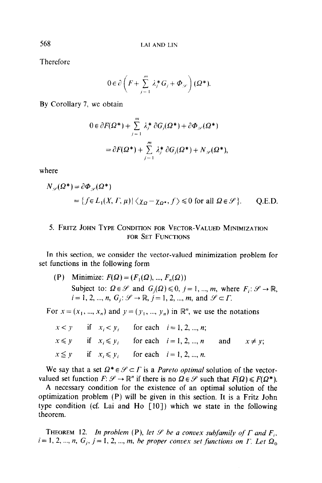Therefore

$$
0 \in \partial \left( F + \sum_{j=1}^{m} \lambda_j^* G_j + \varPhi_{\mathscr{S}} \right) (\Omega^*).
$$

By Corollary 7, we obtain

$$
0 \in \partial F(\Omega^*) + \sum_{j=1}^m \lambda_j^* \partial G_j(\Omega^*) + \partial \Phi_{\mathscr{S}}(\Omega^*)
$$
  
=  $\partial F(\Omega^*) + \sum_{j=1}^m \lambda_j^* \partial G_j(\Omega^*) + N_{\mathscr{S}}(\Omega^*),$ 

where

$$
N_{\mathscr{S}}(\Omega^*) = \partial \Phi_{\mathscr{S}}(\Omega^*)
$$
  
= {f \in L\_1(X, \Gamma, \mu) | \langle \chi\_{\Omega} - \chi\_{\Omega^\*}, f \rangle \le 0 for all  $\Omega \in \mathscr{S}$  }. Q.E.D.

## 5. FRITZ JOHN TYPE CONDITION FOR VECTOR-VALUED MINIMIZATION FOR SET FUNCTIONS

In this section, we consider the vector-valued minimization problem for set functions in the following form

(P) Minimize:  $F(\Omega) = (F_1(\Omega), ..., F_n(\Omega))$ Subject to:  $\Omega \in \mathcal{S}$  and  $G_i(\Omega) \leq 0$ ,  $j = 1, ..., m$ , where  $F_i: \mathcal{S} \to \mathbb{R}$ ,  $i=1, 2, ..., n$ ,  $G_i: \mathcal{S} \rightarrow \mathbb{R}$ ,  $j=1, 2, ..., m$ , and  $\mathcal{S} \subset \Gamma$ .

For  $x = (x_1, ..., x_n)$  and  $y = (y_1, ..., y_n)$  in  $\mathbb{R}^n$ , we use the notations

| $x < y$ if $x_i < y_i$ for each $i = 1, 2, , n$ ;       |                                                                        |  |
|---------------------------------------------------------|------------------------------------------------------------------------|--|
|                                                         | $x \leq y$ if $x_i \leq y_i$ for each $i = 1, 2, , n$ and $x \neq y$ ; |  |
| $x \leq y$ if $x_i \leq y_i$ for each $i = 1, 2, , n$ . |                                                                        |  |

We say that a set  $\Omega^* \in \mathcal{S} \subset \Gamma$  is a *Pareto optimal* solution of the vectorvalued set function  $F: \mathcal{S} \to \mathbb{R}^n$  if there is no  $\Omega \in \mathcal{S}$  such that  $F(\Omega) \leq F(\Omega^*)$ .

A necessary condition for the existence of an optimal solution of the optimization problem (P) will be given in this section. It is a Fritz John type condition (cf. Lai and Ho  $\lceil 10 \rceil$ ) which we state in the following theorem.

**THEOREM** 12. In problem (P), let  $\mathcal{S}$  be a convex subfamily of  $\Gamma$  and  $F_i$ ,  $i = 1, 2, ..., n, G<sub>i</sub>, j = 1, 2, ..., m$ , be proper convex set functions on  $\Gamma$ . Let  $\Omega<sub>0</sub>$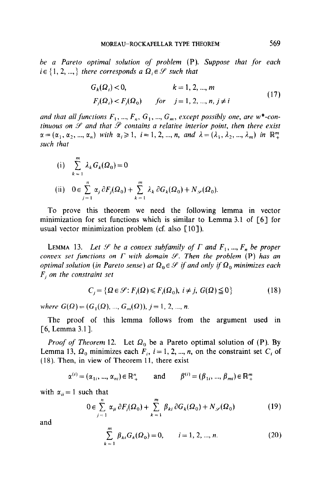be a Pareto optimal solution of problem (P). Suppose that for each  $i \in \{1, 2, ..., \}$  there corresponds a  $\Omega_i \in \mathcal{S}$  such that

$$
G_k(\Omega_i) < 0, \qquad k = 1, 2, \dots, m
$$
\n
$$
F_j(\Omega_i) < F_j(\Omega_0) \qquad \text{for} \quad j = 1, 2, \dots, n, j \neq i \tag{17}
$$

and that all functions  $F_1, ..., F_n, G_1, ..., G_m$ , except possibly one, are w\*-continuous on  $\mathscr S$  and that  $\bar{\mathscr P}$  contains a relative interior point, then there exist  $\alpha = (\alpha_1, \alpha_2, ..., \alpha_n)$  with  $\alpha_i \geq 1, i=1,2, ..., n,$  and  $\lambda = (\lambda_1, \lambda_2, ..., \lambda_m)$  in  $\mathbb{R}^m_+$ such that

(i) 
$$
\sum_{k=1}^{m} \lambda_k G_k(\Omega_0) = 0
$$
  
\n(ii) 
$$
0 \in \sum_{j=1}^{n} \alpha_j \partial F_j(\Omega_0) + \sum_{k=1}^{m} \lambda_k \partial G_k(\Omega_0) + N_{\mathscr{S}}(\Omega_0).
$$

To prove this theorem we need the following lemma in vector minimization for set functions which is similar to Lemma 3.1 of [6] for usual vector minimization problem (cf. also  $\lceil 10 \rceil$ ).

LEMMA 13. Let  $\mathcal S$  be a convex subfamily of  $\Gamma$  and  $F_1, ..., F_n$  be proper convex set functions on  $\Gamma$  with domain  $\mathcal{S}$ . Then the problem (P) has an optimal solution (in Pareto sense) at  $\Omega_0 \in \mathcal{S}$  if and only if  $\Omega_0$  minimizes each  $F_i$  on the constraint set

$$
C_j = \{ \Omega \in \mathcal{G} : F_i(\Omega) \le F_i(\Omega_0), i \ne j, G(\Omega) \le 0 \}
$$
\n(18)

where  $G(\Omega) = (G_1(\Omega), ..., G_m(\Omega)), j = 1, 2, ..., n$ .

The proof of this lemma follows from the argument used in  $[6,$  Lemma 3.1].

*Proof of Theorem* 12. Let  $\Omega_0$  be a Pareto optimal solution of (P). By Lemma 13,  $\Omega_0$  minimizes each  $F_i$ ,  $i = 1, 2, ..., n$ , on the constraint set  $C_i$  of (18). Then, in view of Theorem 11, there exist

$$
\alpha^{(i)} = (\alpha_{1i}, ..., \alpha_{ni}) \in \mathbb{R}^n_+
$$
 and  $\beta^{(i)} = (\beta_{1i}, ..., \beta_{mi}) \in \mathbb{R}^m_+$ 

with  $\alpha_{ii} = 1$  such that

$$
0 \in \sum_{j=1}^{n} \alpha_{ji} \partial F_j(\Omega_0) + \sum_{k=1}^{m} \beta_{ki} \partial G_k(\Omega_0) + N_{\mathscr{S}}(\Omega_0)
$$
 (19)

and

$$
\sum_{k=1}^{m} \beta_{ki} G_k(\Omega_0) = 0, \qquad i = 1, 2, ..., n.
$$
 (20)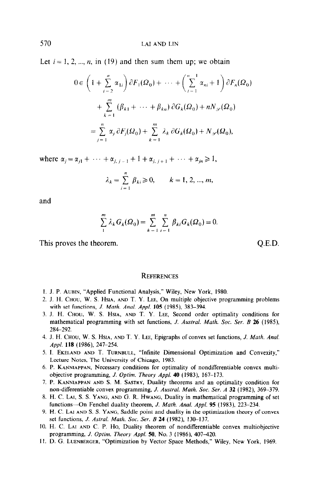Let  $i = 1, 2, ..., n$ , in (19) and then sum them up; we obtain

$$
0 \in \left(1 + \sum_{i=2}^{n} \alpha_{1i}\right) \partial F_1(\Omega_0) + \dots + \left(\sum_{i=1}^{n-1} \alpha_{ni} + 1\right) \partial F_n(\Omega_0)
$$
  
+ 
$$
\sum_{k=1}^{m} (\beta_{k1} + \dots + \beta_{kn}) \partial G_k(\Omega_0) + nN_{\mathscr{S}}(\Omega_0)
$$
  
= 
$$
\sum_{j=1}^{n} \alpha_j \partial F_j(\Omega_0) + \sum_{k=1}^{m} \lambda_k \partial G_k(\Omega_0) + N_{\mathscr{S}}(\Omega_0),
$$

where  $\alpha_j = \alpha_{j1} + \cdots + \alpha_{j, j-1} + 1 + \alpha_{j, j+1} + \cdots + \alpha_{jn} \ge 1$ ,

$$
\lambda_k = \sum_{i=1}^n \beta_{ki} \ge 0, \qquad k = 1, 2, ..., m,
$$

and

$$
\sum_{1}^{m} \lambda_{k} G_{k}(\Omega_{0}) = \sum_{k=1}^{m} \sum_{i=1}^{n} \beta_{ki} G_{k}(\Omega_{0}) = 0.
$$

This proves the theorem. Q.E.D.

#### **REFERENCES**

- 1. J. P. AUBIN, "Applied Functional Analysis," Wiley, New York, 1980.
- 2. J. H. CHOU, W. S. HSIA, AND T. Y. LEE, On multiple objective programming problems with set functions, J. Math. Anal. Appl. 105 (1985), 383-394.
- 3. J. H. CHOU, W. S. HSIA, AND T. Y. LEE, Second order optimality conditions for mathematical programming with set functions, J. Austral. Math. Soc. Ser. B 26 (1985), 284-292.
- 4. J. H. CHOW, W. S. HSIA, AND T. Y. LEE, Epigraphs of convex set functions, J. Mufh. Anal. Appl. 118 (1986), 247-254.
- 5. I. EKELAND AND T. TURNBULL, "Infinite Dimensional Optimization and Convexity," Lecture Notes, The University of Chicago, 1983.
- 6. P. KANNIAPPAN, Necessary conditions for optimality of nondifferentiable convex multiobjective programming, *J. Optim. Theory Appl.* **40** (1983), 167–173.
- 7. P. KANNIAPPAN AND S. M. SASTRY, Duality theorems and an optimality condition for non-differentiable convex programming, J. Austral. Math. Soc. Ser. A 32 (1982), 369-379.
- 8. H. C. LAI, S. S. YANG, AND G. R. HWANG, Duality in mathematical programming of set functions-On Fenchel duality theorem, J. Math. Anal. Appl. 95 (1983), 223-234.
- 9. H. C. LAI AND S. S. YANG, Saddle point and duality in the optimization theory of convex set functions, J. Astral. Math. Soc. Ser. B 24 (1982), 130-137.
- 10. H. C. LAI AND C. P. Ho, Duality theorem of nondifferentiable convex multiobjective programming, J. Optim. Theory Appl.  $50$ , No. 3 (1986), 407-420.
- 11. D. G. LUENBERGER, "Optimization by Vector Space Methods," Wiley, New York, 1969.